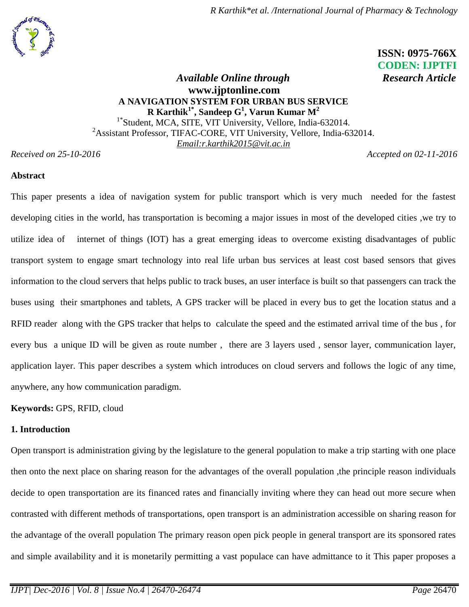

# **ISSN: 0975-766X CODEN: IJPTFI**

## *Available Online through* Research Article **[www.ijptonline.com](http://www.ijptonline.com/) A NAVIGATION SYSTEM FOR URBAN BUS SERVICE R Karthik1\* , Sandeep G 1 , Varun Kumar M<sup>2</sup>** <sup>1\*</sup>Student, MCA, SITE, VIT University, Vellore, India-632014. <sup>2</sup>Assistant Professor, TIFAC-CORE, VIT University, Vellore, India-632014. *Email:r.karthik2015@vit.ac.in*

*Received on 25-10-2016 Accepted on 02-11-2016*

#### **Abstract**

This paper presents a idea of navigation system for public transport which is very much needed for the fastest developing cities in the world, has transportation is becoming a major issues in most of the developed cities ,we try to utilize idea of internet of things (IOT) has a great emerging ideas to overcome existing disadvantages of public transport system to engage smart technology into real life urban bus services at least cost based sensors that gives information to the cloud servers that helps public to track buses, an user interface is built so that passengers can track the buses using their smartphones and tablets, A GPS tracker will be placed in every bus to get the location status and a RFID reader along with the GPS tracker that helps to calculate the speed and the estimated arrival time of the bus , for every bus a unique ID will be given as route number , there are 3 layers used , sensor layer, communication layer, application layer. This paper describes a system which introduces on cloud servers and follows the logic of any time, anywhere, any how communication paradigm.

**Keywords:** GPS, RFID, cloud

## **1. Introduction**

Open transport is administration giving by the legislature to the general population to make a trip starting with one place then onto the next place on sharing reason for the advantages of the overall population ,the principle reason individuals decide to open transportation are its financed rates and financially inviting where they can head out more secure when contrasted with different methods of transportations, open transport is an administration accessible on sharing reason for the advantage of the overall population The primary reason open pick people in general transport are its sponsored rates and simple availability and it is monetarily permitting a vast populace can have admittance to it This paper proposes a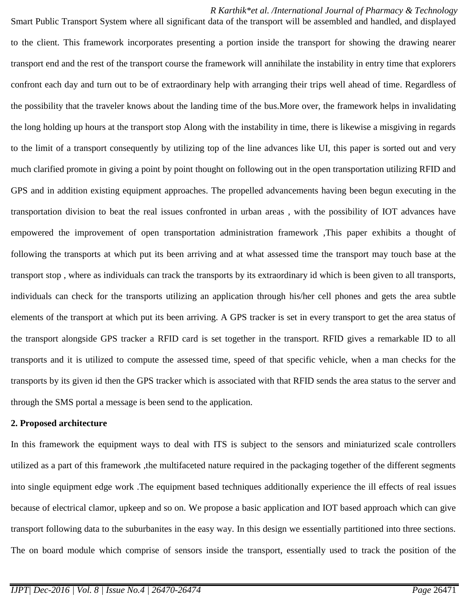*R Karthik\*et al. /International Journal of Pharmacy & Technology* Smart Public Transport System where all significant data of the transport will be assembled and handled, and displayed to the client. This framework incorporates presenting a portion inside the transport for showing the drawing nearer transport end and the rest of the transport course the framework will annihilate the instability in entry time that explorers confront each day and turn out to be of extraordinary help with arranging their trips well ahead of time. Regardless of the possibility that the traveler knows about the landing time of the bus.More over, the framework helps in invalidating the long holding up hours at the transport stop Along with the instability in time, there is likewise a misgiving in regards to the limit of a transport consequently by utilizing top of the line advances like UI, this paper is sorted out and very much clarified promote in giving a point by point thought on following out in the open transportation utilizing RFID and GPS and in addition existing equipment approaches. The propelled advancements having been begun executing in the transportation division to beat the real issues confronted in urban areas , with the possibility of IOT advances have empowered the improvement of open transportation administration framework ,This paper exhibits a thought of following the transports at which put its been arriving and at what assessed time the transport may touch base at the transport stop , where as individuals can track the transports by its extraordinary id which is been given to all transports, individuals can check for the transports utilizing an application through his/her cell phones and gets the area subtle elements of the transport at which put its been arriving. A GPS tracker is set in every transport to get the area status of the transport alongside GPS tracker a RFID card is set together in the transport. RFID gives a remarkable ID to all transports and it is utilized to compute the assessed time, speed of that specific vehicle, when a man checks for the transports by its given id then the GPS tracker which is associated with that RFID sends the area status to the server and through the SMS portal a message is been send to the application.

#### **2. Proposed architecture**

In this framework the equipment ways to deal with ITS is subject to the sensors and miniaturized scale controllers utilized as a part of this framework ,the multifaceted nature required in the packaging together of the different segments into single equipment edge work .The equipment based techniques additionally experience the ill effects of real issues because of electrical clamor, upkeep and so on. We propose a basic application and IOT based approach which can give transport following data to the suburbanites in the easy way. In this design we essentially partitioned into three sections. The on board module which comprise of sensors inside the transport, essentially used to track the position of the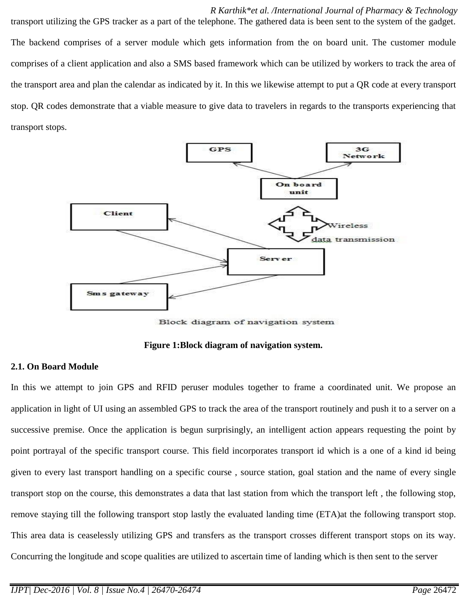*R Karthik\*et al. /International Journal of Pharmacy & Technology* transport utilizing the GPS tracker as a part of the telephone. The gathered data is been sent to the system of the gadget. The backend comprises of a server module which gets information from the on board unit. The customer module comprises of a client application and also a SMS based framework which can be utilized by workers to track the area of the transport area and plan the calendar as indicated by it. In this we likewise attempt to put a QR code at every transport stop. QR codes demonstrate that a viable measure to give data to travelers in regards to the transports experiencing that transport stops.



Block diagram of navigation system

**Figure 1:Block diagram of navigation system.**

#### **2.1. On Board Module**

In this we attempt to join GPS and RFID peruser modules together to frame a coordinated unit. We propose an application in light of UI using an assembled GPS to track the area of the transport routinely and push it to a server on a successive premise. Once the application is begun surprisingly, an intelligent action appears requesting the point by point portrayal of the specific transport course. This field incorporates transport id which is a one of a kind id being given to every last transport handling on a specific course , source station, goal station and the name of every single transport stop on the course, this demonstrates a data that last station from which the transport left , the following stop, remove staying till the following transport stop lastly the evaluated landing time (ETA)at the following transport stop. This area data is ceaselessly utilizing GPS and transfers as the transport crosses different transport stops on its way. Concurring the longitude and scope qualities are utilized to ascertain time of landing which is then sent to the server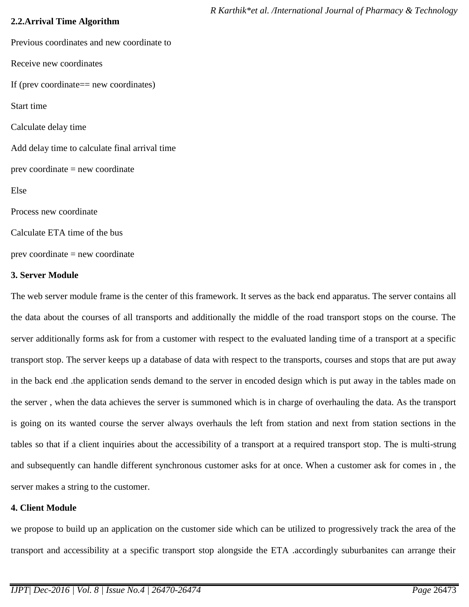## **2.2.Arrival Time Algorithm**

Previous coordinates and new coordinate to Receive new coordinates If (prev coordinate== new coordinates) Start time Calculate delay time Add delay time to calculate final arrival time prev coordinate = new coordinate Else Process new coordinate Calculate ETA time of the bus prev coordinate = new coordinate

## **3. Server Module**

The web server module frame is the center of this framework. It serves as the back end apparatus. The server contains all the data about the courses of all transports and additionally the middle of the road transport stops on the course. The server additionally forms ask for from a customer with respect to the evaluated landing time of a transport at a specific transport stop. The server keeps up a database of data with respect to the transports, courses and stops that are put away in the back end .the application sends demand to the server in encoded design which is put away in the tables made on the server , when the data achieves the server is summoned which is in charge of overhauling the data. As the transport is going on its wanted course the server always overhauls the left from station and next from station sections in the tables so that if a client inquiries about the accessibility of a transport at a required transport stop. The is multi-strung and subsequently can handle different synchronous customer asks for at once. When a customer ask for comes in , the server makes a string to the customer.

## **4. Client Module**

we propose to build up an application on the customer side which can be utilized to progressively track the area of the transport and accessibility at a specific transport stop alongside the ETA .accordingly suburbanites can arrange their